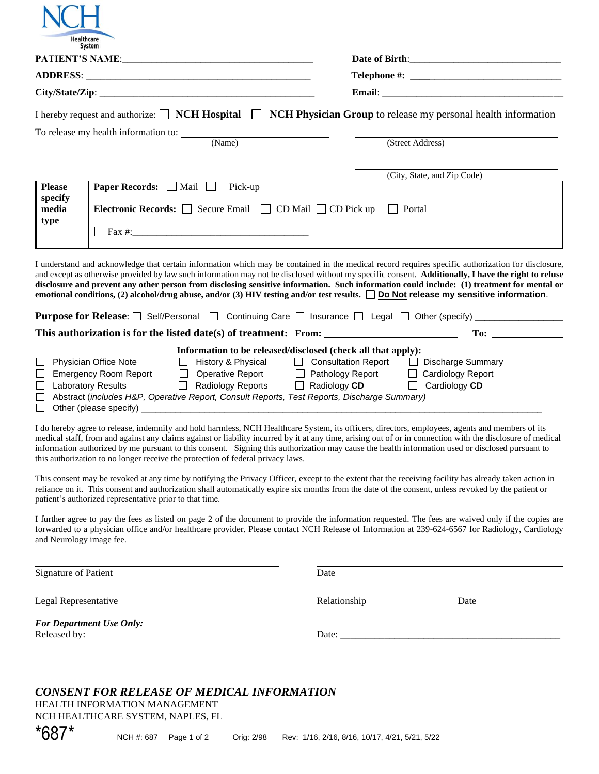|                          | Healthcare<br>System                                                                                         |                                                                                 |                                                                                                                                                                                                                                          |                                                                                                                                                                                                                                                                                                                                                                                                                                                                                                                                                                                                                                                                                                                                |  |
|--------------------------|--------------------------------------------------------------------------------------------------------------|---------------------------------------------------------------------------------|------------------------------------------------------------------------------------------------------------------------------------------------------------------------------------------------------------------------------------------|--------------------------------------------------------------------------------------------------------------------------------------------------------------------------------------------------------------------------------------------------------------------------------------------------------------------------------------------------------------------------------------------------------------------------------------------------------------------------------------------------------------------------------------------------------------------------------------------------------------------------------------------------------------------------------------------------------------------------------|--|
|                          |                                                                                                              |                                                                                 |                                                                                                                                                                                                                                          |                                                                                                                                                                                                                                                                                                                                                                                                                                                                                                                                                                                                                                                                                                                                |  |
|                          |                                                                                                              |                                                                                 |                                                                                                                                                                                                                                          |                                                                                                                                                                                                                                                                                                                                                                                                                                                                                                                                                                                                                                                                                                                                |  |
|                          |                                                                                                              |                                                                                 |                                                                                                                                                                                                                                          |                                                                                                                                                                                                                                                                                                                                                                                                                                                                                                                                                                                                                                                                                                                                |  |
|                          |                                                                                                              |                                                                                 |                                                                                                                                                                                                                                          | I hereby request and authorize: $\Box$ <b>NCH Hospital</b> $\Box$ <b>NCH Physician Group</b> to release my personal health information                                                                                                                                                                                                                                                                                                                                                                                                                                                                                                                                                                                         |  |
|                          |                                                                                                              |                                                                                 |                                                                                                                                                                                                                                          |                                                                                                                                                                                                                                                                                                                                                                                                                                                                                                                                                                                                                                                                                                                                |  |
|                          |                                                                                                              | (Name)                                                                          |                                                                                                                                                                                                                                          | (Street Address)                                                                                                                                                                                                                                                                                                                                                                                                                                                                                                                                                                                                                                                                                                               |  |
|                          |                                                                                                              |                                                                                 |                                                                                                                                                                                                                                          | (City, State, and Zip Code)                                                                                                                                                                                                                                                                                                                                                                                                                                                                                                                                                                                                                                                                                                    |  |
| <b>Please</b><br>specify | Paper Records: Mail Pick-up                                                                                  |                                                                                 |                                                                                                                                                                                                                                          |                                                                                                                                                                                                                                                                                                                                                                                                                                                                                                                                                                                                                                                                                                                                |  |
| media<br>type            | <b>Electronic Records:</b> $\Box$ Secure Email $\Box$ CD Mail $\Box$ CD Pick up<br>Portal                    |                                                                                 |                                                                                                                                                                                                                                          |                                                                                                                                                                                                                                                                                                                                                                                                                                                                                                                                                                                                                                                                                                                                |  |
|                          |                                                                                                              |                                                                                 |                                                                                                                                                                                                                                          |                                                                                                                                                                                                                                                                                                                                                                                                                                                                                                                                                                                                                                                                                                                                |  |
|                          |                                                                                                              |                                                                                 |                                                                                                                                                                                                                                          | I understand and acknowledge that certain information which may be contained in the medical record requires specific authorization for disclosure,<br>and except as otherwise provided by law such information may not be disclosed without my specific consent. Additionally, I have the right to refuse<br>disclosure and prevent any other person from disclosing sensitive information. Such information could include: (1) treatment for mental or<br>emotional conditions, (2) alcohol/drug abuse, and/or (3) HIV testing and/or test results. $\Box$ Do Not release my sensitive information.<br><b>Purpose for Release</b> : Self/Personal □ Continuing Care □ Insurance □ Legal □ Other (specify) ___________________ |  |
|                          |                                                                                                              |                                                                                 | This authorization is for the listed date(s) of treatment: From:                                                                                                                                                                         | To: the contract of the contract of the contract of the contract of the contract of the contract of the contract of the contract of the contract of the contract of the contract of the contract of the contract of the contra                                                                                                                                                                                                                                                                                                                                                                                                                                                                                                 |  |
| $\Box$                   | Physician Office Note<br><b>Emergency Room Report</b><br><b>Laboratory Results</b><br>Other (please specify) | □ History & Physical<br>$\Box$                                                  | Information to be released/disclosed (check all that apply):<br>□ Operative Report □ Pathology Report<br>Radiology Reports □ Radiology CD<br>Abstract (includes H&P, Operative Report, Consult Reports, Test Reports, Discharge Summary) | □ Consultation Report □ Discharge Summary<br><b>Cardiology Report</b><br>$\Box$<br>Cardiology CD                                                                                                                                                                                                                                                                                                                                                                                                                                                                                                                                                                                                                               |  |
|                          |                                                                                                              | this authorization to no longer receive the protection of federal privacy laws. |                                                                                                                                                                                                                                          | I do hereby agree to release, indemnify and hold harmless, NCH Healthcare System, its officers, directors, employees, agents and members of its<br>medical staff, from and against any claims against or liability incurred by it at any time, arising out of or in connection with the disclosure of medical<br>information authorized by me pursuant to this consent. Signing this authorization may cause the health information used or disclosed pursuant to                                                                                                                                                                                                                                                              |  |
|                          | patient's authorized representative prior to that time.                                                      |                                                                                 |                                                                                                                                                                                                                                          | This consent may be revoked at any time by notifying the Privacy Officer, except to the extent that the receiving facility has already taken action in<br>reliance on it. This consent and authorization shall automatically expire six months from the date of the consent, unless revoked by the patient or                                                                                                                                                                                                                                                                                                                                                                                                                  |  |
|                          |                                                                                                              |                                                                                 | fire as listed on near 0 of the democrat to number the information neuronted. The first one main                                                                                                                                         |                                                                                                                                                                                                                                                                                                                                                                                                                                                                                                                                                                                                                                                                                                                                |  |

I further agree to pay the fees as listed on page 2 of the document to provide the information requested. The fees are waived only if the copies are forwarded to a physician office and/or healthcare provider. Please contact NCH Release of Information at 239-624-6567 for Radiology, Cardiology and Neurology image fee.

Signature of Patient Date

Legal Representative Date Relationship Date

l,

*For Department Use Only:* Released by: Date: \_\_\_\_\_\_\_\_\_\_\_\_\_\_\_\_\_\_\_\_\_\_\_\_\_\_\_\_\_\_\_\_\_\_\_\_\_\_\_\_\_\_\_\_\_

## *CONSENT FOR RELEASE OF MEDICAL INFORMATION*

HEALTH INFORMATION MANAGEMENT NCH HEALTHCARE SYSTEM, NAPLES, FL